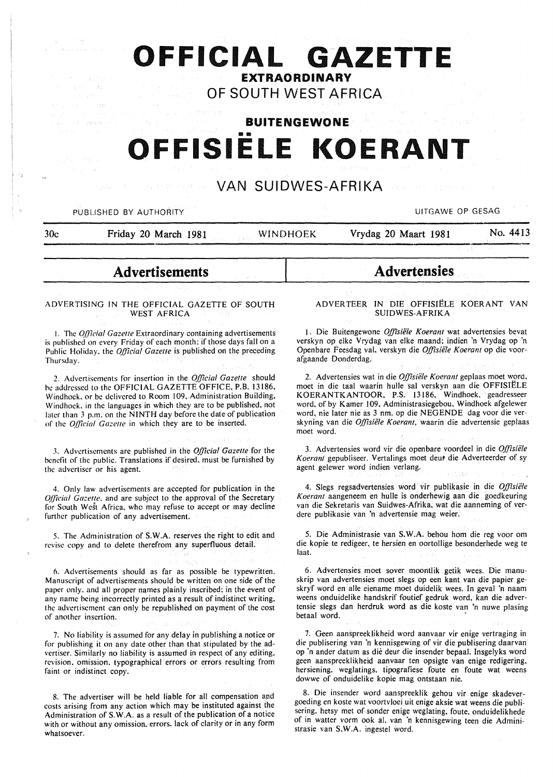## **OFFICIAL GAZETTE**  EXTRAORDINARY

OF SOUTH WEST AFRICA

# BUITENGEWONE OFFISIELE KOERANT

### VAN SUIDWES-AFRIKA

#### PUBLISHED BY AUTHORITY UNKNOWN AND THE SERVICE OF GESAGRAPHIC UITGAWE OP GESAGRAPHIC

id:

developed

30c Friday 20 March 1981 WINDHOEK Vrydag 20 Maart 1981 No. 4413

### Advertisements

#### ADVERTISING IN THE OFFICIAL GAZETTE OF SOUTH WEST AFRICA

I. The *Official Gazelle* Extraordinary containing advertisements is published on every Friday of each month; if those days fall on a Puhlic Holiday. the *Official Gazelle* is published on the preceding Thursday.

2. Advertisements for insertion in the *Official Gazelle* should be addressed to the OFFICIAL GAZETTE OFFICE, P.B. 13186, Windhoek, or be delivered to Room 109, Administration Building, Windhoek. in the languages in which they are to be published. not later than 3 p.m. on the NINTH day before the date of publication of the *Oj]lcial Gazelle* in which they are to be inserted.

3. Advertisements are published in the *Official Gazetle* for the benefit of the public. Translations if desired. must be furnished by the advertiser or his agent.

4. Only law advertisements are accepted for publication in the *Q[17cial Gazetle.* and are subject to the approval of the Secretary for South West Africa, who may refuse to accept or may decline further publication of any advertisement.

*5.* The Administration of S.W.A. reserves the right to edit and revise copy and to delete therefrom any superfluous detail.

6. Advertisements should as far as possible be typewritten. Manuscript of advertisements should be written on one side of the paper only. and all proper names plainly inscribed: in the event of any name being incorrectly printed as a result of indistinct writing. the advertisement can only be republished on payment of the cost of another insertion.

7. No liability is assumed for any delay in publishing a notice or for publishing it on any date other than that stipulated by the advertiser. Similarly no liability is assumed in respect of any editing. revision. omission. typographical errors or errors resulting from faint or indistinct copy.

8. The advertiser will be held liable for all compensation and costs arising from any action which may be instituted against the Administration of S. W.A. as a result of the publication of a notice with or without any omission. errors. lack of clarity or in any form whatsoever.

#### ADVERTEER IN DIE OFFISIELE KOERANT VAN SUIDWES-AFRIKA

Advertensies

1. Die Buitengewone *Offisiële Koerant* wat advertensies bevat verskyn op elke Vrydag van elke maand; indien 'n Vrydag op 'n Openbare Feesdag val, verskyn die *Offisiele Koerant* op die voorafgaande Donderdag.

2. Advertensies wat in die *Offisiele Koerant* geplaas moet word, moet in die taa1 waarin hulle sal verskyn aan die OFFISIELE KOERANTKANTOOR, P.S. 13186, Windhoek, geadresseer word, of by Kamer 109, Administrasiegebou, Windhoek afgelewer word, nie later nie as 3 nm. op die NEGENDE dag voor die verskyning van die *Offisiele Koerant,* waarin die advertensie geplaas moet word.

3. Advertensies word vir die openbare voordeel in die *Offisiele*  Koerant gepubliseer. Vertalings moet deur die Adverteerder of sy agent gelewer word indien verlang.

4. Slegs regsadvertensies word vir publikasie in die *Offisiele Koerant* aangeneem en hulle is onderhewig aan die goedkeuring van die Sekretaris van Suidwes-Afrika, wat die aanneming of verdere publikasie van 'n advertensie mag weier.

5. Die Administrasie van S.W.A. behou hom die reg voor om die kopie te redigeer, te hersien en oortollige besonderhede weg te laat.

6. Advertensies moet sover moontlik getik wees. Die manuskrip van advertensies moet slegs op een kant van die papier geskryf word en aile eiename moet duidelik wees. In geval 'n naam weens onduidelike handskrif foutief gedruk word, kan die advertensie slegs dan herdruk word as die koste van 'n nuwe plasing betaal word.

7. Geen aanspreeklikheid word aanvaar vir enige vertraging in die publisering van 'n kennisgewing of vir die publisering daarvan op 'n ander datum as die deur die insender bepaal. Insgelyks word geen aanspreeklikheid aanvaar ten opsigte van enige redigering. hersiening. weglatings. tipografiese foute en foute wat weens dowwe of onduidelike kopie mag ontstaan nie.

8. Die insender word aanspreeklik gehou vir enige skadevergoeding en koste wat voortvloei uit enige aksie wat weens die publisering. hetsy met of sonder enige weglating, foute, onduidelikhede of in watter vorm ook al. van 'n kennisgewing teen die Administrasie van S.W.A. ingestel word.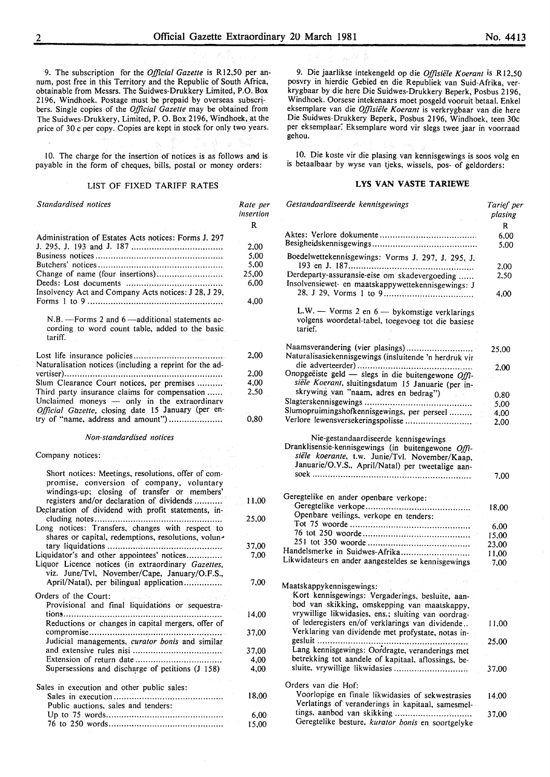9. The subscription for the *Official Gazette* is R12,50 per annum, post free in this Territory and the Republic of South Africa, obtainable from Messrs. The Suidwes-Drukkery Limited, P.O. Box 2196, Windhoek. Postage must be prepaid by overseas subscribers. Single copies of the *Official Gazette* may be obtained from The Suidwes-Drukkery, Limited, P. 0. Box 2196, Windhoek, at the price of 30 c per copy. Copies are kept in stock for only two years.

10. The charge for the insertion of notices is as follows and is payable in the form of cheques, bills, postal or money orders:

#### LIST OF FIXED TARIFF RATES

*Standardised notices*  Administration of Estates Acts notices: Forms J. 297 J. 295, J. 193 and J. 187 .................................. .. Business notices ................................................. . Butchers' notices ............................................... .. Change of name (four insertions) ........................ .. Deeds: Lost documents .................................... .. Insolvency Act and Company Acts notices: J 28, J 29, Forms I to 9 .................................................... .  $N.B.$  -Forms 2 and 6 -additional statements according to word count table, added to the basic tariff. Lost life insurance policies .................................. . Naturalisation notices (including a reprint for the advertiser) ............................................................. . Slum Clearance Court notices, per premises ........ .. Third party insurance claims for compensation ...... Unclaimed moneys  $-$  only in the extraordinary *Official Gazette, closing date 15 January (per en*try of "name, address and amount") .................... . *Non-standardised notices*  Company notices: Short notices: Meetings, resolutions, offer of compromise, conversion of company, voluntary windings-up; closing of transfer or members' registers and/or declaration of dividends .......... . Declaration of dividend with profit statements, including notes ................................................. . Long notices: Transfers, changes with respect to shares or capital, redemptions, resolutions, voluntary liquidations ........................................... .. Liquidator's and other appointees' notices.............. Liquor Licence notices (in extraordinary *Gazettes,*  viz. June/Tv!, November/Cape, January/O.F.S., April/Natal), per bilingual application ............... Orders of the Court: Provisional and final liquidations or sequestrations ............................................................. . Reductions or changes in capital mergers, offer of compromise ................................................... . Judicial managements, *curator bonis* and similar and extensive rules nisi .................................. . Extension of return date ................................ .. Supersessions and discharge of petitions  $(J\ 158)$ Sales in execution and other public sales: Sales in execution .......................................... . Public auctions, sales and tenders: Up to 75 words ............................................ .. 76 to 250 words ............................................ . *Rate per insertion*  R 2,00 5,00 5,00 25,00 6,00 4,00 2,00 2.00 4,00 2,50 0,80 11,00 25,00 37,00 7,00 7,00 14,00 37,00 37,00 4,00 4,00 18,00 6,00 15,00

9. Die jaarlikse intekengeld op die *O.ffisiele Koerant* is Rl2,50 posvry in hierdie Gebied en die Republiek van Suid-Afrika, verkrygbaar by die here Die Suidwes-Drukkery Beperk, Posbus 2196, Windhoek. Oorsese intekenaars moet posgeld vooruit betaal. Enkel eksemplare van die *O.ffisiele Koerant* is verkrygbaar van die here Die Suidwes-Drukkery Beperk, Posbus 2196, Windhoek, teen 30c per eksemplaar. Eksemplare word vir slegs twee jaar in voorraad gehou.

10. Die koste vir die plasing van kennisgewings is soos volg en is betaalbaar by wyse van tjeks, wissels, pos- of geldorders:

#### **LYS VAN VASTE TARIEWE**

| Gestandaardiseerde kennisgewings                                                                                                                          | Tarief per<br>plasing |
|-----------------------------------------------------------------------------------------------------------------------------------------------------------|-----------------------|
|                                                                                                                                                           | R                     |
|                                                                                                                                                           | 6.00<br>5,00          |
| Boedelwettekennisgewings: Vorms J. 297, J. 295, J.                                                                                                        | 2,00                  |
| Derdeparty-assuransie-eise om skadevergoeding<br>Insolvensiewet- en maatskappywettekennisgewings: J                                                       | 2,50                  |
|                                                                                                                                                           | 4.00                  |
| L.W. $-$ Vorms 2 en $6 -$ by komstige verklarings<br>volgens woordetal-tabel, toegevoeg tot die basiese<br>tarief.                                        |                       |
| Naamsverandering (vier plasings)<br>Naturalisasiekennisgewings (insluitende 'n herdruk vir                                                                | 25,00                 |
|                                                                                                                                                           | 2,00                  |
| Onopgeëiste geld - slegs in die buitengewone Offi-                                                                                                        |                       |
| siële Koerant, sluitingsdatum 15 Januarie (per in-                                                                                                        |                       |
| skrywing van "naam, adres en bedrag")                                                                                                                     | 0,80                  |
|                                                                                                                                                           | 5,00                  |
| Slumopruimingshofkennisgewings, per perseel                                                                                                               | 4,00                  |
| Verlore lewensversekeringspolisse                                                                                                                         | 2,00                  |
| Dranklisensie-kennisgewings (in buitengewone Offi-<br>siële koerante, t.w. Junie/Tvl. November/Kaap,<br>Januarie/O.V.S., April/Natal) per tweetalige aan- | 7,00                  |
| Geregtelike en ander openbare verkope:                                                                                                                    |                       |
|                                                                                                                                                           | 18,00                 |
| Openbare veilings, verkope en tenders:                                                                                                                    |                       |
|                                                                                                                                                           | 6,00                  |
|                                                                                                                                                           | 15,00                 |
|                                                                                                                                                           | 23,00                 |
| Handelsmerke in Suidwes-Afrika                                                                                                                            | 11,00                 |
| Likwidateurs en ander aangesteldes se kennisgewings                                                                                                       | 7,00                  |
|                                                                                                                                                           |                       |
|                                                                                                                                                           |                       |
| Maatskappykennisgewings:<br>Kort kennisgewings: Vergaderings, besluite, aan-                                                                              |                       |
| bod van skikking, omskepping van maatskappy,                                                                                                              |                       |
| vrywillige likwidasies, ens.; sluiting van oordrag-                                                                                                       |                       |
| of lederegisters en/of verklarings van dividende                                                                                                          | 11,00                 |
| Verklaring van dividende met profystate, notas in-                                                                                                        |                       |
|                                                                                                                                                           | 25,00                 |
| Lang kennisgewings: Oordragte, veranderings met                                                                                                           |                       |
| betrekking tot aandele of kapitaal, aflossings, be-                                                                                                       |                       |
| sluite, vrywillige likwidasies                                                                                                                            | 37.00                 |
|                                                                                                                                                           |                       |
| Orders van die Hof:                                                                                                                                       |                       |
| Voorlopige en finale likwidasies of sekwestrasies                                                                                                         | 14.00                 |
| Verlatings of veranderings in kapitaal, samesmel-                                                                                                         |                       |
| tings, aanbod van skikking<br>Geregtelike besture, kurator bonis en soortgelyke                                                                           | 37,00                 |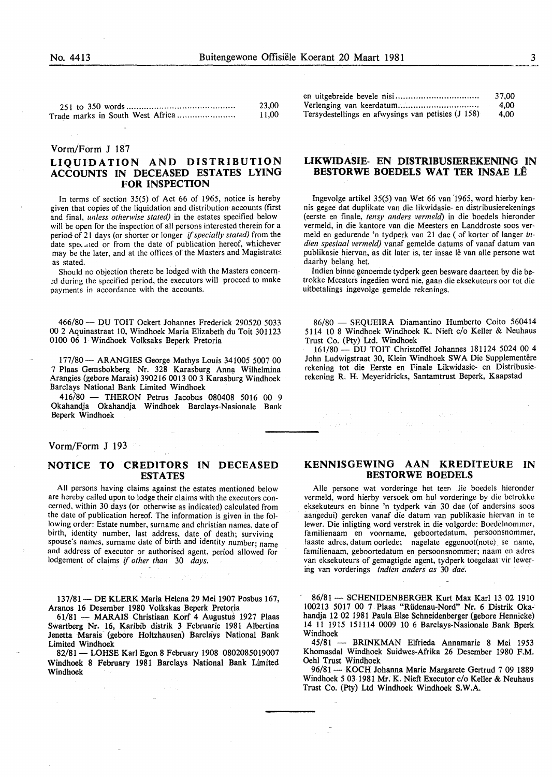#### Vorm/Form J 187

#### LIQUIDATION AND DISTRIBUTION ACCOUNTS IN DECEASED ESTATES LYING FOR INSPECTION

In terms of section 35(5) of Act 66 of 1965, notice is hereby given that copies of the liquidation and distribution accounts (first and final, *unless otherwise stated)* in the estates specified below will be open for the inspection of all persons interested therein for a period of 21 days (or shorter or longer if *specially stated)* from the date specaled or from the date of publication hereof, whichever may be the later, and at the offices of the Masters and Magistrates as stated.

Should no objection thereto be lodged with the Masters concern ed during the specified period, the executors will proceed to make payments in accordance with the accounts.

466/80- DU TOIT Ockert Johannes Frederick 290520 5033 00 2 Aquinastraat 10, Windhoek Maria Elizabeth du Toit 301123 0100 06 1 Windhoek Volksaks Beperk Pretoria

177/80- ARANGIES George Mathys Louis 341005 5007 00 7 Plaas Gemsbokberg Nr. 328 Karasburg Anna Wilhelmina Arangies (gebore Marais) 390216 0013 00 3 Karasburg Windhoek Barclays National Bank Limited Windhoek

416/80 - THERON Petrus Jacobus 080408 5016 00 9 Okahandja Okahandja Windhoek Barclays-Nasionale Bank Beperk Windhoek

#### Vorm/Form J 193

#### NOTICE TO CREDITORS IN DECEASED ESTATES

All persons having claims against the estates mentioned below are hereby called upon to lodge their claims with the executors concerned, within 30 days (or otherwise as indicated) calculated from the date of publication hereof. The information is given in the following order: Estate number, surname and christian names, date of birth, identity number, last address, date of death; surviving spouse's names, surname date of birth and identity number; name and address of executor or authorised agent, period allowed for lodgement of claims if *other than* 30 *days.* 

137/81- DE KLERK Maria Helena 29 Mei 1907 Posbus 167, Aranos 16 Desember 1980 Volkskas Beperk Pretoria

61/81 - MARAIS Christiaan Korf 4 Augustus 1927 Plaas Swartberg Nr. 16, Karibib distrik 3 Februarie 1981 Albertina Jenetta Marais (gebore Holtzhausen) Barchiys National Bank Limited Windhoek

82/81 - LOHSE Karl Egon 8 February 1908 0802085019007 Windhoek 8 February 1981 Barclays National Bank Limited Windhoek

|                                                    | 37.00 |
|----------------------------------------------------|-------|
|                                                    | -4.00 |
| Tersydestellings en afwysings van petisies (J 158) | 4.00  |

#### LIKWIDASIE- EN DISTRIBUSIEREKENING IN BESTORWE BOEDELS WAT TER INSAE LÊ

lngevolge artikel 35(5) van Wet 66 van '1965, word hierby kennis gegee dat duplikate van die likwidasie- en distribusierekenings (eerste en finale, *tensy anders vermeld)* in die boedels hieronder vermeld, in die kantore van die Meesters en Landdroste soos vermeld en gedurende 'n tydperk van 21 dae (of korter of Ianger *indien spesiaal vermeld)* vanaf gemelde datums of vanaf datum van publikasie hiervan, as dit later is, ter insae lê van alle persone wat daarby belang het.

Indien binne genoemde tydperk geen besware daarteen by die betrokke Meesters ingedien word nie, gaan die eksekuteurs oor tot die uitbetalings ingevolge gemelde rekenings.

86/80 - SEOUEIRA Diamantino Humberto Coito 560414 5114 10 8 Windhoek Windhoek K. Nieft c/o Keller & Neuhaus Trust Co. (Pty) Ltd. Windhoek

161/80- DU TOIT Christoffel Johannes 181124 5024 00 4 John Ludwigstraat 30, Klein Windhoek SWA Die Supplementêre rekening tot die Eerste en Finale Likwidasie- en Distribusierekening R. H. Meyeridricks, Santamtrust Beperk, Kaapstad

#### KENNISGEWING AAN KREDITEURE IN BESTORWE BOEDELS

Aile persone wat vorderinge het teen Jie boedels hieronder vermeld, word hierby versoek om hul vorderinge by die betrokke eksekuteurs en binne 'n tydperk van 30 dae (of andersins soos aangedui) gereken vanaf die datum van publikasie hiervan in te !ewer. Die inligting word verstrek in die volgorde: Boedelnommer, familienaam en voorname, geboortedatum, persoonsnommer, laaste adres, datum oorlede; nagelate eggenoot(note) se name, familienaam, geboortedatum en persoonsnommer; naam en adres van eksekuteurs of gemagtigde agent, tydperk toegelaat vir lewering van vorderings *indien anders as* 30 *dae.* 

86/81 - SCHENIDENBERGER Kurt Max Karl 13 02 1910 100213 5017 00 7 Plaas "Riidenau-Nord" Nr. 6 Distrik Okahandja 12 02 1981 Paula Else Schneidenberger (gebore Hennicke) 14 11 1915 151114 0009 10 6 Barclays-Nasionale Bank Bperk Windhoek<br> $45/81$ 

BRINKMAN Elfrieda Annamarie 8 Mei 1953 Khomasdal Windhoek Suidwes-Afrika 26 Desember 1980 F.M. Oehl Trust Windhoek

96/81 - KOCH Johanna Marie Margarete Gertrud 7 09 1889 Windhoek 5 03 1981 Mr. K. Nieft Executor c/o Keller & Neuhaus Trust Co. (Pty) Ltd Windhoek Windhoek S.W.A.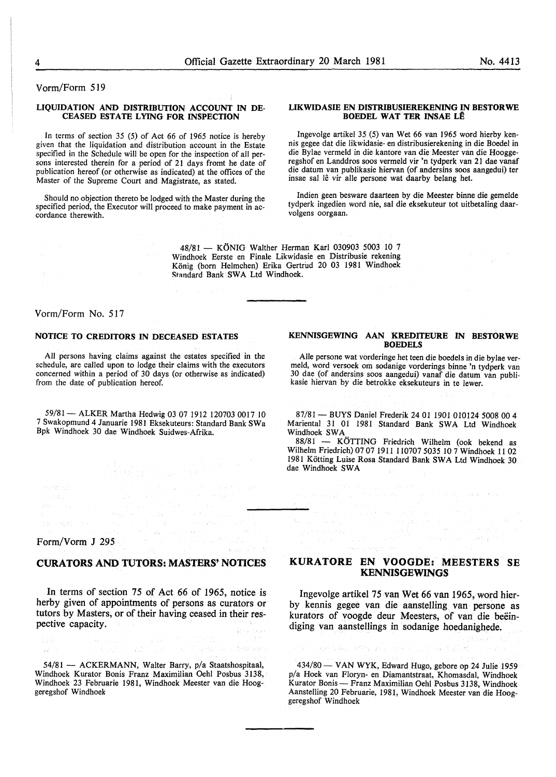Vorm/Form 519

#### LIQUIDATION AND DISTRIBUTION ACCOUNT IN DE-CEASED ESTATE LYING FOR INSPECTION

In terms of section 35 (5) of Act 66 of 1965 notice is hereby given that the liquidation and distribution account in the Estate specified in the Schedule will be open for the inspection of all persons interested therein for a period of 21 days fromt he date of publication hereof (or otherwise as indicated) at the offices of the Master of the Supreme Court and Magistrate, as stated.

Should no objection thereto be lodged with the Master during the specified period, the Executor will proceed to make payment in ac- cordance therewith.

#### LIKWIDASIE EN DISTRIBUSIEREKENING IN BESTORWE BOEDEL WAT TER INSAE LÊ

Ingevolge artikel 35 (5) van Wet 66 van 1965 word hierby kennis gegee dat die likwidasie- en distribusierekening in die Boedel in die Bylae vermeld in die kantore van die Meester van die Hooggeregshof en Landdros soos vermeld vir 'n tydperk van 21 dae vanaf die datum van publikasie hiervan (of andersins soos aangedui) ter insae sal lê vir alle persone wat daarby belang het.

Indien geen besware daarteen by die Meester binne die gemelde tydperk ingedien word nie, sal die eksekuteur tot uitbetaling daarvolgens oorgaan.

48/81 - KÖNIG Walther Herman Karl 030903 5003 10 7 Windhoek Eerste en Finale Likwidasie en Distribusie rekening König (born Helmchen) Erika Gertrud 20 03 1981 Windhoek Standard Bank SWA Ltd Windhoek.

#### Vorm/Form No. 517

#### NOTICE TO CREDITORS IN DECEASED ESTATES

All persons having claims against the estates specified in the schedule, are called upon to lodge their claims with the executors concerned within a period of 30 days (or otherwise as indicated) from the date of publication hereof.

59/81 - ALKER Martha Hedwig 03 07 1912 120703 0017 10 7 Swakopmund 4 Januarie 1981 Eksekuteurs: Standard Bank SWa Bpk Windhoek 30 dae Windhoek Suidwes-Afrika.

Form/Vorm J 295

 $\label{eq:2} \begin{split} \alpha_{\text{max}}(t_{\text{max}},t_{\text{max}}) = \gamma_{\text{max}} \\ \beta_{\text{max}}(t_{\text{max}},t_{\text{max}}) = \gamma_{\text{max}}(t_{\text{max}}) \end{split}$ 

#### CURATORS AND TUTORS: MASTERS' NOTICES

In terms of section 75 of Act 66 of 1965, notice is herby given of appointments of persons as curators or tutors by Masters, or of their having ceased in their respective capacity.

 $\label{eq:2} \begin{split} \mathcal{L}^{\text{G}}_{\text{c}}(\mathcal{A}) = \mathcal{L}^{\text{G}}(\mathcal{A}) + \mathcal{L}^{\text{G}}_{\text{c}}(\mathcal{A}) \\ \mathcal{L}^{\text{G}}_{\text{c}}(\mathcal{A}) = \mathcal{L}^{\text{G}}(\mathcal{A}) + \mathcal{L}^{\text{G}}_{\text{c}}(\mathcal{A}) + \mathcal{L}^{\text{G}}_{\text{c}}(\mathcal{A}) \end{split}$ 

อะเรื่องผิดละครับ

 $\mathcal{L}\mathcal{L}\mathcal{M}$  $id$  :

54/81 - ACKERMANN, Walter Barry, p/a Staatshospitaal, Windhoek Kurator Bonis Franz Maximilian Oehl Posbus 3138, Windhoek 23 Februarie 1981, Windhoek Meester van die Hooggeregshof Windhoek

#### KENNISGEWING AAN KREDITEURE IN BESTORWE BOEDELS

Aile persone wat vorderinge het teen die boedels in die bylae ver-30 dae (of andersins soos aangedui) vanaf die datum van publikasie hiervan by die betrokke eksekuteurs in te lewer.

87/81 - BUYS Daniel Frederik 24 01 1901 010124 5008 00 4 Mariental 31 01 1981 Standard Bank SWA Ltd Windhoek Windhoek SWA

88/81 - KÖTTING Friedrich Wilhelm (ook bekend as Wilhelm Friedrich) 07 07 1911 110707 5035 10 7 Windhoek 11 02 1981 Kotting Luise Rosa Standard Bank SWA Ltd Windhoek 30 dae Windhoek SWA

#### KURATORE EN VOOGDE: MEESTERS SE KENNISGEWINGS

eka s

 $\sim$  gas  $\sim$ of the product of the control of

Ingevolge artikel 75 van Wet 66 van 1965, word bierby kennis gegee van die aanstelling van persone as kurators of voogde deur Meesters, of van die beëindiging van aanstellings in sodanige hoedanighede.

434/80- VANWYK, Edward Hugo, gebore op 24 Julie 1959 p/a Hoek van Floryn- en Diamantstraat, Khomasdal, Windhoek Kurator Bonis- Franz Maximilian Oehl Posbus 3138, Windhoek Aanstelling 20 Februarie, 1981, Windhoek Meester van die Hooggeregshof Windhoek

原本 网络松树 网络轻轻的 网络不同的 网络苏诺斯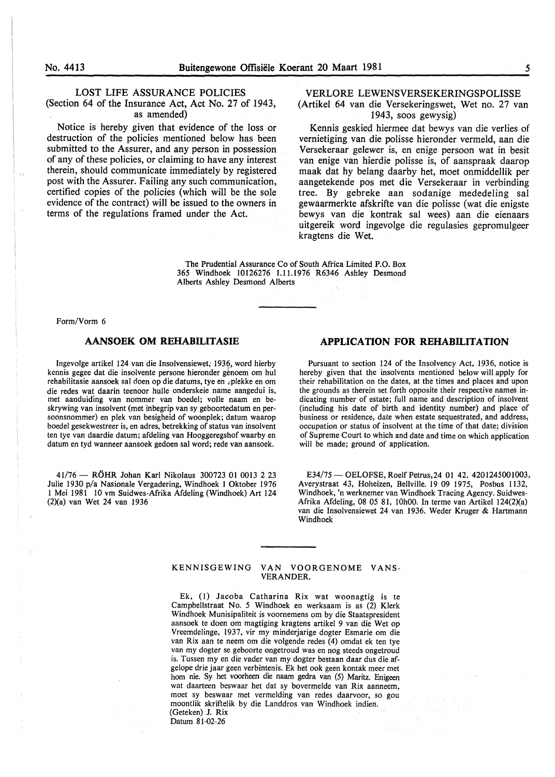#### LOST LIFE ASSURANCE POLICIES

(Section 64 of the Insurance Act, Act No. 27 of 1943, as amended)

Notice is hereby given that evidence of the loss or destruction of the policies mentioned below has been submitted to the Assurer, and any person in possession of any of these policies, or claiming to have any interest therein, should communicate immediately by registered post with the Assurer. Failing any such communication, certified copies of the policies (which will be the sole evidence of the contract) will be issued to the owners in terms of the regulations framed under the Act.

#### VERLORE LEWENSVERSEKERINGSPOLISSE (Artikel 64 van die Versekeringswet, Wet no. 27 van 1943, soos gewysig)

Kennis geskied hiermee dat bewys van die verlies of vernietiging van die polisse hieronder vermeld, aan die Versekeraar gelewer is, en enige persoon wat in besit van enige van hierdie polisse is, of aanspraak daarop maak dat hy belang daarby het, moet onmiddellik per aangetekende pos met die Versekeraar in verbinding tree. By gebreke aan sodanige mededeling sal gewaarmerkte afskrifte van die polisse ( wat die enigste bewys van die kontrak sal wees) aan die eienaars uitgereik word ingevolge die regulasies gepromulgeer kragtens die Wet.

The Prudential Assurance Co of South Africa Limited P.O. Box 365 Windhoek 10126276 1.11.1976 R6346 Ashley Desmond Alberts Ashley Desmond Alberts

Form/Vorm 6

Ingevolge artikel 124 van die Insolvensiewet; 1936, word hierby kennis gegee dat die insolvente persone hieronder genoem om hul rehabilitasie aansoek sal doen op die datums, tye en ~plekke en om die redes wat daarin teenoor bulle onderskeie name aangedui is, met aanduiding van nommer van boedel; voile naam en beskrywing van insolvent (met inbegrip van sy geboortedatum en persoonsnommer) en plek van besigheid of woonplek; datum waarop boedel gesekwestreer is, en adres, betrekking of status van insolvent ten tye van daardie datum; afdeling van Hooggeregshof waarby en datum en tyd wanneer aansoek gedoen sal word; rede van aansoek.

41/76- R6HR Johan Karl Nikolaus 300723 01 0013 2 23 Julie 1930 p/a Nasionale Vergadering, Windhoek 1 Oktober 1976 I Mei 1981 10 vm Suidwes-Afrika Afdeling (Windhoek) Art 124 (2)(a) van Wet 24 van 1936

### **AANSOEK OM REHABILITASIE APPLICATION FOR REHABILITATION**

Pursuant to section 124 of the Insolvency Act, 1936, notice is hereby given that the insolvents mentioned below will apply for their rehabilitation on the dates, at the times and places and upon the grounds as therein set forth opposite their respective names indicating number of estate; full name and description of insolvent (including his date of birth and identity number) and place of business or residence, date when estate sequestrated, and address, occupation or status of insolvent at the time of that date; division of Supreme Court to which and date and time on which application will be made; ground of application.

E34/75 - OELOFSE, Roelf Petrus, 24 01 42. 4201245001003, Averystraat 43, Hoheizen, Bellville. 19 09 1975, Posbus 1132, Windhoek, 'n werknemer van Windhoek Tracing Agency. Suidwes-Afrika Afdeling, 08 05 81, IOhOO. In terme van Artikel 124(2)(a) van die Insolvensiewet 24 van 1936. Weder Kruger & Hartmann Windhoek

#### KENNISGEWING VAN VOORGENOME VANS-VERANDER.

Ek, (l) Jacoba Catharina Rix wat woonagtig is te Campbellstraat No. *5* Windhoek en werksaam is as (2) Klerk Windhoek Munisipaliteit is voornemens om by die Staatspresident aansoek te doen om magtiging kragtens artikel 9 van die Wet op Vreemdelinge, 1937, vir my minderjarige dogter Esmarie om die van Rix aan te neem om die volgende redes (4) omdat ek ten tye van my dogter se geboorte ongetroud was en nog steeds ongetroud is. Tussen my en die vader van my dogter bestaan daar dus die afgelope drie jaar geen verbintenis. Ek het ook geen kontak meer met hom nie. Sy het voorheen die naam gedra van (5) Maritz. Enigeen wat daarteen beswaar het dat sy bovermelde van Rix aanneem, moet sy beswaar met vermelding van redes daarvoor, so gou moontlik skriftelik by die Landdros van Windhoek indien. (Geteken) J. Rix Datum 81-02-26